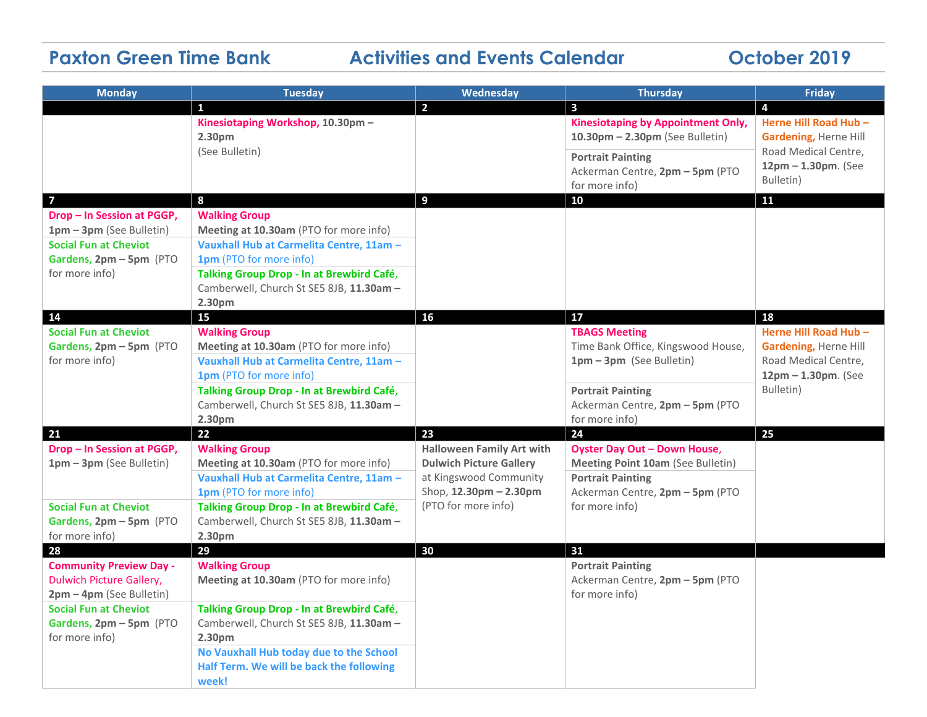# **Paxton Green Time Bank Activities and Events Calendar October 2019**

| <b>Monday</b>                             | <b>Tuesday</b>                                                                     | Wednesday                        | <b>Thursday</b>                                                  | <b>Friday</b>                                 |
|-------------------------------------------|------------------------------------------------------------------------------------|----------------------------------|------------------------------------------------------------------|-----------------------------------------------|
|                                           | $\mathbf{1}$                                                                       | $\overline{2}$                   | 3                                                                | 4                                             |
|                                           | Kinesiotaping Workshop, 10.30pm -                                                  |                                  | <b>Kinesiotaping by Appointment Only,</b>                        | Herne Hill Road Hub -                         |
|                                           | 2.30pm                                                                             |                                  | $10.30$ pm – 2.30pm (See Bulletin)                               | Gardening, Herne Hill                         |
|                                           | (See Bulletin)                                                                     |                                  | <b>Portrait Painting</b>                                         | Road Medical Centre,                          |
|                                           |                                                                                    |                                  | Ackerman Centre, 2pm - 5pm (PTO                                  | $12pm - 1.30pm$ . (See                        |
|                                           |                                                                                    |                                  | for more info)                                                   | Bulletin)                                     |
| $\overline{7}$                            | 8                                                                                  | 9                                | 10                                                               | 11                                            |
| Drop - In Session at PGGP,                | <b>Walking Group</b>                                                               |                                  |                                                                  |                                               |
| 1pm - 3pm (See Bulletin)                  | Meeting at 10.30am (PTO for more info)                                             |                                  |                                                                  |                                               |
| <b>Social Fun at Cheviot</b>              | Vauxhall Hub at Carmelita Centre, 11am -                                           |                                  |                                                                  |                                               |
| Gardens, 2pm - 5pm (PTO                   | 1pm (PTO for more info)                                                            |                                  |                                                                  |                                               |
| for more info)                            | Talking Group Drop - In at Brewbird Café,                                          |                                  |                                                                  |                                               |
|                                           | Camberwell, Church St SE5 8JB, 11.30am -                                           |                                  |                                                                  |                                               |
|                                           | 2.30pm                                                                             |                                  |                                                                  |                                               |
| 14                                        | 15                                                                                 | 16                               | 17                                                               | 18                                            |
| <b>Social Fun at Cheviot</b>              | <b>Walking Group</b>                                                               |                                  | <b>TBAGS Meeting</b>                                             | Herne Hill Road Hub-                          |
| Gardens, 2pm - 5pm (PTO<br>for more info) | Meeting at 10.30am (PTO for more info)<br>Vauxhall Hub at Carmelita Centre, 11am - |                                  | Time Bank Office, Kingswood House,<br>$1pm - 3pm$ (See Bulletin) | Gardening, Herne Hill<br>Road Medical Centre, |
|                                           | 1pm (PTO for more info)                                                            |                                  |                                                                  | $12pm - 1.30pm$ . (See                        |
|                                           | Talking Group Drop - In at Brewbird Café,                                          |                                  | <b>Portrait Painting</b>                                         | Bulletin)                                     |
|                                           | Camberwell, Church St SE5 8JB, 11.30am -                                           |                                  | Ackerman Centre, 2pm - 5pm (PTO                                  |                                               |
|                                           | 2.30pm                                                                             |                                  | for more info)                                                   |                                               |
| 21                                        | 22                                                                                 | 23                               | 24                                                               | 25                                            |
| Drop - In Session at PGGP,                | <b>Walking Group</b>                                                               | <b>Halloween Family Art with</b> | <b>Oyster Day Out - Down House,</b>                              |                                               |
| 1pm - 3pm (See Bulletin)                  | Meeting at 10.30am (PTO for more info)                                             | <b>Dulwich Picture Gallery</b>   | Meeting Point 10am (See Bulletin)                                |                                               |
|                                           | Vauxhall Hub at Carmelita Centre, 11am -                                           | at Kingswood Community           | <b>Portrait Painting</b>                                         |                                               |
|                                           | 1pm (PTO for more info)                                                            | Shop, 12.30pm - 2.30pm           | Ackerman Centre, 2pm - 5pm (PTO                                  |                                               |
| <b>Social Fun at Cheviot</b>              | Talking Group Drop - In at Brewbird Café,                                          | (PTO for more info)              | for more info)                                                   |                                               |
| Gardens, 2pm - 5pm (PTO                   | Camberwell, Church St SE5 8JB, 11.30am -                                           |                                  |                                                                  |                                               |
| for more info)                            | 2.30pm                                                                             |                                  |                                                                  |                                               |
| 28                                        | 29                                                                                 | 30                               | 31                                                               |                                               |
| <b>Community Preview Day -</b>            | <b>Walking Group</b>                                                               |                                  | <b>Portrait Painting</b>                                         |                                               |
| <b>Dulwich Picture Gallery,</b>           | Meeting at 10.30am (PTO for more info)                                             |                                  | Ackerman Centre, 2pm - 5pm (PTO                                  |                                               |
| 2pm - 4pm (See Bulletin)                  |                                                                                    |                                  | for more info)                                                   |                                               |
| <b>Social Fun at Cheviot</b>              | Talking Group Drop - In at Brewbird Café,                                          |                                  |                                                                  |                                               |
| Gardens, 2pm - 5pm (PTO<br>for more info) | Camberwell, Church St SE5 8JB, 11.30am -<br>2.30pm                                 |                                  |                                                                  |                                               |
|                                           | No Vauxhall Hub today due to the School                                            |                                  |                                                                  |                                               |
|                                           | Half Term. We will be back the following                                           |                                  |                                                                  |                                               |
|                                           | week!                                                                              |                                  |                                                                  |                                               |
|                                           |                                                                                    |                                  |                                                                  |                                               |